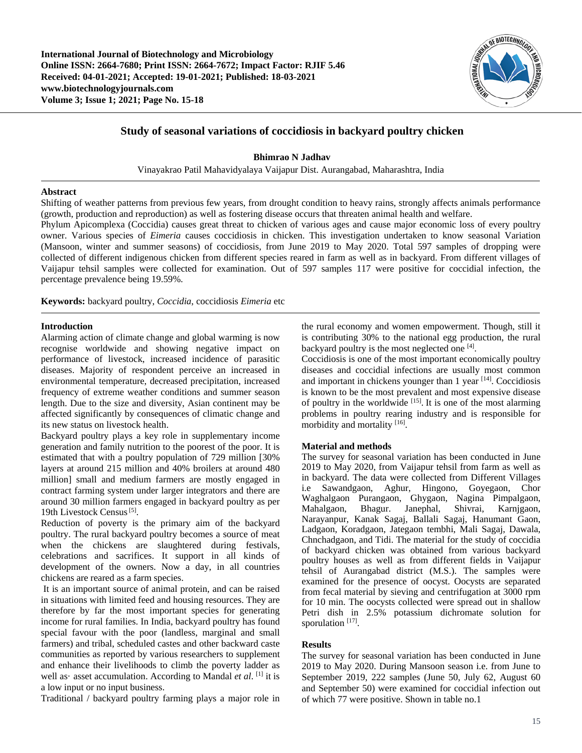

# **Study of seasonal variations of coccidiosis in backyard poultry chicken**

**Bhimrao N Jadhav**

Vinayakrao Patil Mahavidyalaya Vaijapur Dist. Aurangabad, Maharashtra, India

# **Abstract**

Shifting of weather patterns from previous few years, from drought condition to heavy rains, strongly affects animals performance (growth, production and reproduction) as well as fostering disease occurs that threaten animal health and welfare.

Phylum Apicomplexa (Coccidia) causes great threat to chicken of various ages and cause major economic loss of every poultry owner. Various species of *Eimeria* causes coccidiosis in chicken. This investigation undertaken to know seasonal Variation (Mansoon, winter and summer seasons) of coccidiosis, from June 2019 to May 2020. Total 597 samples of dropping were collected of different indigenous chicken from different species reared in farm as well as in backyard. From different villages of Vaijapur tehsil samples were collected for examination. Out of 597 samples 117 were positive for coccidial infection, the percentage prevalence being 19.59%.

**Keywords:** backyard poultry, *Coccidia*, coccidiosis *Eimeria* etc

# **Introduction**

Alarming action of climate change and global warming is now recognise worldwide and showing negative impact on performance of livestock, increased incidence of parasitic diseases. Majority of respondent perceive an increased in environmental temperature, decreased precipitation, increased frequency of extreme weather conditions and summer season length. Due to the size and diversity, Asian continent may be affected significantly by consequences of climatic change and its new status on livestock health.

Backyard poultry plays a key role in supplementary income generation and family nutrition to the poorest of the poor. It is estimated that with a poultry population of 729 million [30% layers at around 215 million and 40% broilers at around 480 million] small and medium farmers are mostly engaged in contract farming system under larger integrators and there are around 30 million farmers engaged in backyard poultry as per 19th Livestock Census<sup>[5]</sup>.

Reduction of poverty is the primary aim of the backyard poultry. The rural backyard poultry becomes a source of meat when the chickens are slaughtered during festivals, celebrations and sacrifices. It support in all kinds of development of the owners. Now a day, in all countries chickens are reared as a farm species.

It is an important source of animal protein, and can be raised in situations with limited feed and housing resources. They are therefore by far the most important species for generating income for rural families. In India, backyard poultry has found special favour with the poor (landless, marginal and small farmers) and tribal, scheduled castes and other backward caste communities as reported by various researchers to supplement and enhance their livelihoods to climb the poverty ladder as well as· asset accumulation. According to Mandal *et al*. [1] it is a low input or no input business.

Traditional / backyard poultry farming plays a major role in

the rural economy and women empowerment. Though, still it is contributing 30% to the national egg production, the rural backyard poultry is the most neglected one [4].

Coccidiosis is one of the most important economically poultry diseases and coccidial infections are usually most common and important in chickens younger than  $1$  year  $[14]$ . Coccidiosis is known to be the most prevalent and most expensive disease of poultry in the worldwide  $[15]$ . It is one of the most alarming problems in poultry rearing industry and is responsible for morbidity and mortality [16].

#### **Material and methods**

The survey for seasonal variation has been conducted in June 2019 to May 2020, from Vaijapur tehsil from farm as well as in backyard. The data were collected from Different Villages i.e Sawandgaon, Aghur, Hingono, Goyegaon, Chor Waghalgaon Purangaon, Ghygaon, Nagina Pimpalgaon, Mahalgaon, Bhagur. Janephal, Shivrai, Karnjgaon, Narayanpur, Kanak Sagaj, Ballali Sagaj, Hanumant Gaon, Ladgaon, Koradgaon, Jategaon tembhi, Mali Sagaj, Dawala, Chnchadgaon, and Tidi. The material for the study of coccidia of backyard chicken was obtained from various backyard poultry houses as well as from different fields in Vaijapur tehsil of Aurangabad district (M.S.). The samples were examined for the presence of oocyst. Oocysts are separated from fecal material by sieving and centrifugation at 3000 rpm for 10 min. The oocysts collected were spread out in shallow Petri dish in 2.5% potassium dichromate solution for sporulation<sup>[17]</sup>.

#### **Results**

The survey for seasonal variation has been conducted in June 2019 to May 2020. During Mansoon season i.e. from June to September 2019, 222 samples (June 50, July 62, August 60 and September 50) were examined for coccidial infection out of which 77 were positive. Shown in table no.1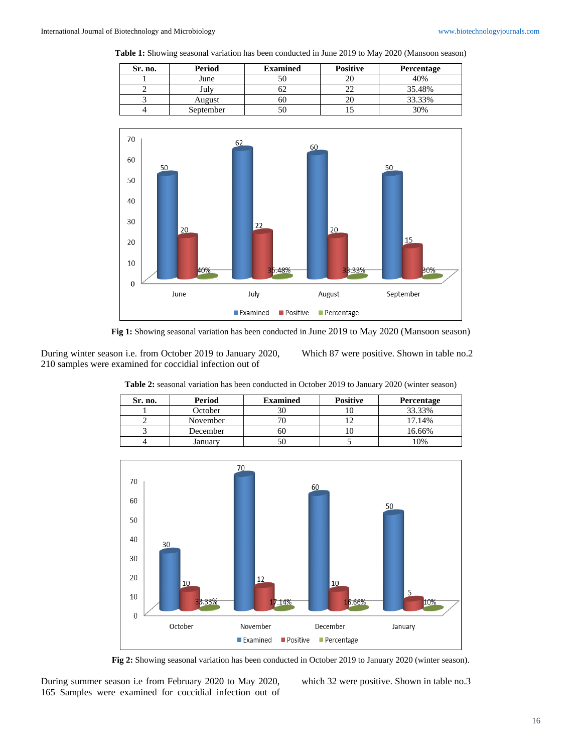**Table 1:** Showing seasonal variation has been conducted in June 2019 to May 2020 (Mansoon season)

| Sr. no. | Period     | <b>Examined</b> | <b>Positive</b> | Percentage |
|---------|------------|-----------------|-----------------|------------|
|         | June       |                 | 20              | 40%        |
|         | $\int$ uly |                 | --              | 35.48%     |
|         | August     | 60              | 20              | 33.33%     |
|         | September  |                 |                 | 30%        |



**Fig 1:** Showing seasonal variation has been conducted in June 2019 to May 2020 (Mansoon season)

During winter season i.e. from October 2019 to January 2020, 210 samples were examined for coccidial infection out of

Which 87 were positive. Shown in table no.2

**Table 2:** seasonal variation has been conducted in October 2019 to January 2020 (winter season)

| Sr. no. | Period   | <b>Examined</b> | <b>Positive</b> | Percentage |
|---------|----------|-----------------|-----------------|------------|
|         | October  | 3U              | 1U.             | 33.33%     |
|         | November |                 |                 | 17.14%     |
|         | December | ou              |                 | 16.66%     |
|         | Januarv  | ЭU              |                 | 10%        |



**Fig 2:** Showing seasonal variation has been conducted in October 2019 to January 2020 (winter season).

During summer season i.e from February 2020 to May 2020, 165 Samples were examined for coccidial infection out of which 32 were positive. Shown in table no.3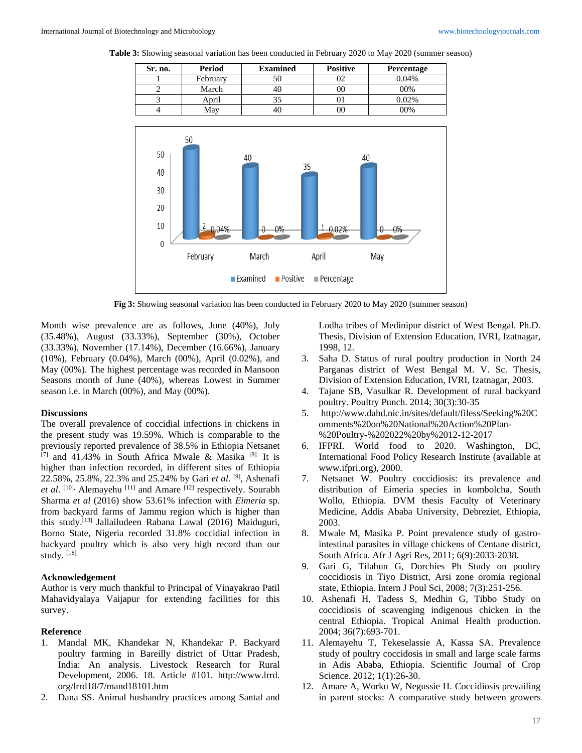**Table 3:** Showing seasonal variation has been conducted in February 2020 to May 2020 (summer season)

| Sr. no. | Period   | <b>Examined</b> | <b>Positive</b> | Percentage |
|---------|----------|-----------------|-----------------|------------|
|         | February | 50              | 02              | 0.04%      |
|         | March    | 40              | 00              | 00%        |
|         | April    | 35              |                 | 0.02%      |
|         | May      | 40.             | 00              | 00%        |
|         |          |                 |                 |            |



**Fig 3:** Showing seasonal variation has been conducted in February 2020 to May 2020 (summer season)

Month wise prevalence are as follows, June (40%), July (35.48%), August (33.33%), September (30%), October (33.33%), November (17.14%), December (16.66%), January (10%), February (0.04%), March (00%), April (0.02%), and May (00%). The highest percentage was recorded in Mansoon Seasons month of June (40%), whereas Lowest in Summer season i.e. in March (00%), and May (00%).

### **Discussions**

The overall prevalence of coccidial infections in chickens in the present study was 19.59%. Which is comparable to the previously reported prevalence of 38.5% in Ethiopia Netsanet  $^{[7]}$  and 41.43% in South Africa Mwale & Masika [8]. It is higher than infection recorded, in different sites of Ethiopia 22.58%, 25.8%, 22.3% and 25.24% by Gari *et al*. [9], Ashenafi *et al*. [10], Alemayehu [11] and Amare [12] respectively. Sourabh Sharma *et al* (2016) show 53.61% infection with *Eimeria* sp. from backyard farms of Jammu region which is higher than this study.[13] Jallailudeen Rabana Lawal (2016) Maiduguri, Borno State, Nigeria recorded 31.8% coccidial infection in backyard poultry which is also very high record than our study. [18]

# **Acknowledgement**

Author is very much thankful to Principal of Vinayakrao Patil Mahavidyalaya Vaijapur for extending facilities for this survey.

#### **Reference**

- 1. Mandal MK, Khandekar N, Khandekar P. Backyard poultry farming in Bareilly district of Uttar Pradesh, India: An analysis. Livestock Research for Rural Development, 2006. 18. Article #101. http://www.lrrd. org/lrrd18/7/mand18101.htm
- 2. Dana SS. Animal husbandry practices among Santal and

Lodha tribes of Medinipur district of West Bengal. Ph.D. Thesis, Division of Extension Education, IVRI, Izatnagar, 1998, 12.

- 3. Saha D. Status of rural poultry production in North 24 Parganas district of West Bengal M. V. Sc. Thesis, Division of Extension Education, IVRI, Izatnagar, 2003.
- 4. Tajane SB, Vasulkar R. Development of rural backyard poultry. Poultry Punch. 2014; 30(3):30-35
- 5. http://www.dahd.nic.in/sites/default/filess/Seeking%20C omments%20on%20National%20Action%20Plan- %20Poultry-%202022%20by%2012-12-2017
- 6. IFPRI. World food to 2020. Washington, DC, International Food Policy Research Institute (available at www.ifpri.org), 2000.
- 7. Netsanet W. Poultry coccidiosis: its prevalence and distribution of Eimeria species in kombolcha, South Wollo, Ethiopia. DVM thesis Faculty of Veterinary Medicine, Addis Ababa University, Debreziet, Ethiopia, 2003.
- 8. Mwale M, Masika P. Point prevalence study of gastrointestinal parasites in village chickens of Centane district, South Africa. Afr J Agri Res, 2011; 6(9):2033-2038.
- 9. Gari G, Tilahun G, Dorchies Ph Study on poultry coccidiosis in Tiyo District, Arsi zone oromia regional state, Ethiopia. Intern J Poul Sci, 2008; 7(3):251-256.
- 10. Ashenafi H, Tadess S, Medhin G, Tibbo Study on coccidiosis of scavenging indigenous chicken in the central Ethiopia. Tropical Animal Health production. 2004; 36(7):693-701.
- 11. Alemayehu T, Tekeselassie A, Kassa SA. Prevalence study of poultry coccidosis in small and large scale farms in Adis Ababa, Ethiopia. Scientific Journal of Crop Science. 2012; 1(1):26-30.
- 12. Amare A, Worku W, Negussie H. Coccidiosis prevailing in parent stocks: A comparative study between growers